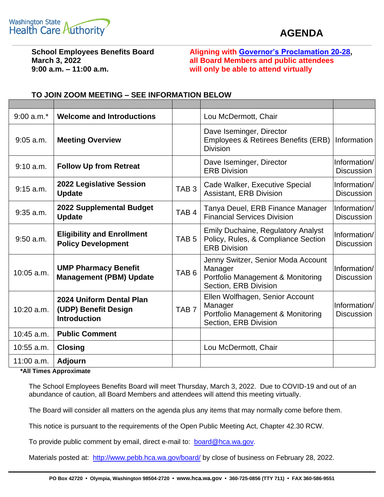

## **AGENDA**

**9:00 a.m. – 11:00 a.m. will only be able to attend virtually**

**School Employees Benefits Board Aligning with [Governor's Proclamation 20-28,](https://gcc02.safelinks.protection.outlook.com/?url=https%3A%2F%2Fwww.governor.wa.gov%2Fsites%2Fdefault%2Ffiles%2Fproclamations%2F20-28%2520-%2520COVID-19%2520Open%2520Govt%2520Laws%2520Waivers%2520%2528tmp%2529.pdf&data=02%7C01%7Ckaty.hatfield%40atg.wa.gov%7C53c1190dabf248cffe7d08d7d0697b69%7C2cc5baaf3b9742c9bcb8392cad34af3f%7C0%7C0%7C637207023816075946&sdata=FUzc3rN11qhcc5JQVudzn%2Bm00INmDp4zNNhOf7FXq4I%3D&reserved=0) March 3, 2022 all Board Members and public attendees**

| $9:00$ a.m. $*$ | <b>Welcome and Introductions</b>                                        |                  | Lou McDermott, Chair                                                                                        |                                   |
|-----------------|-------------------------------------------------------------------------|------------------|-------------------------------------------------------------------------------------------------------------|-----------------------------------|
| $9:05$ a.m.     | <b>Meeting Overview</b>                                                 |                  | Dave Iseminger, Director<br>Employees & Retirees Benefits (ERB)<br><b>Division</b>                          | Information                       |
| 9:10 a.m.       | <b>Follow Up from Retreat</b>                                           |                  | Dave Iseminger, Director<br><b>ERB Division</b>                                                             | Information/<br><b>Discussion</b> |
| $9:15$ a.m.     | 2022 Legislative Session<br><b>Update</b>                               | TAB <sub>3</sub> | Cade Walker, Executive Special<br>Assistant, ERB Division                                                   | Information/<br><b>Discussion</b> |
| $9:35$ a.m.     | 2022 Supplemental Budget<br><b>Update</b>                               | TAB <sub>4</sub> | Tanya Deuel, ERB Finance Manager<br><b>Financial Services Division</b>                                      | Information/<br><b>Discussion</b> |
| $9:50$ a.m.     | <b>Eligibility and Enrollment</b><br><b>Policy Development</b>          | TAB <sub>5</sub> | <b>Emily Duchaine, Regulatory Analyst</b><br>Policy, Rules, & Compliance Section<br><b>ERB Division</b>     | Information/<br><b>Discussion</b> |
| $10:05$ a.m.    | <b>UMP Pharmacy Benefit</b><br><b>Management (PBM) Update</b>           | TAB <sub>6</sub> | Jenny Switzer, Senior Moda Account<br>Manager<br>Portfolio Management & Monitoring<br>Section, ERB Division | Information/<br><b>Discussion</b> |
| 10:20 a.m.      | 2024 Uniform Dental Plan<br>(UDP) Benefit Design<br><b>Introduction</b> | TAB <sub>7</sub> | Ellen Wolfhagen, Senior Account<br>Manager<br>Portfolio Management & Monitoring<br>Section, ERB Division    | Information/<br><b>Discussion</b> |
| $10:45$ a.m.    | <b>Public Comment</b>                                                   |                  |                                                                                                             |                                   |
| $10:55$ a.m.    | <b>Closing</b>                                                          |                  | Lou McDermott, Chair                                                                                        |                                   |
| $11:00$ a.m.    | <b>Adjourn</b>                                                          |                  |                                                                                                             |                                   |

## **TO JOIN ZOOM MEETING – SEE INFORMATION BELOW**

**\*All Times Approximate**

The School Employees Benefits Board will meet Thursday, March 3, 2022. Due to COVID-19 and out of an abundance of caution, all Board Members and attendees will attend this meeting virtually.

The Board will consider all matters on the agenda plus any items that may normally come before them.

This notice is pursuant to the requirements of the Open Public Meeting Act, Chapter 42.30 RCW.

To provide public comment by email, direct e-mail to: [board@hca.wa.gov.](mailto:board@hca.wa.gov)

Materials posted at: <http://www.pebb.hca.wa.gov/board/> by close of business on February 28, 2022.